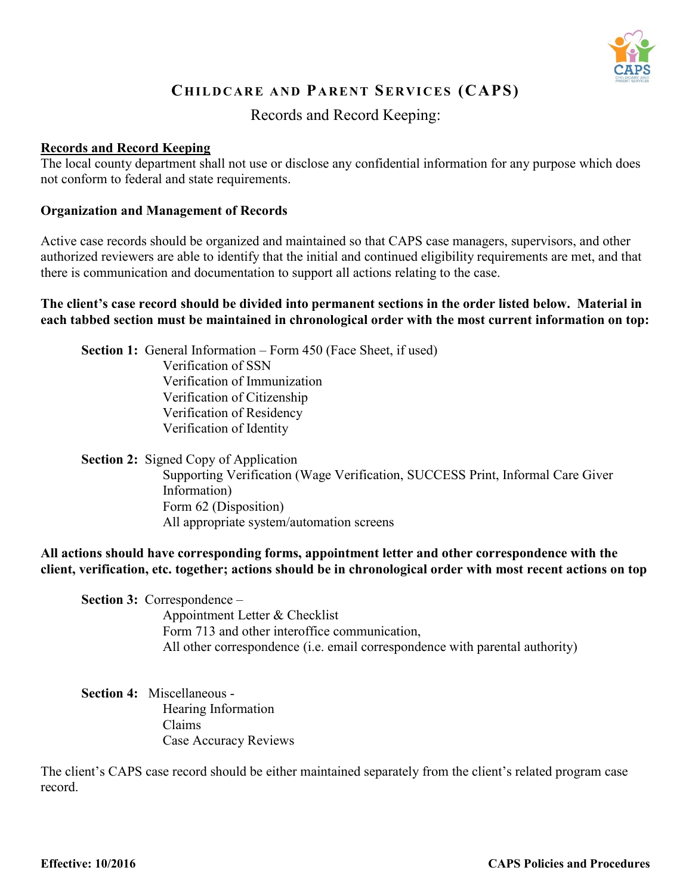

# **CH I L D C A R E A N D PA RE N T SE R V I C E S (CAPS)**

## Records and Record Keeping:

### **Records and Record Keeping**

The local county department shall not use or disclose any confidential information for any purpose which does not conform to federal and state requirements.

#### **Organization and Management of Records**

Active case records should be organized and maintained so that CAPS case managers, supervisors, and other authorized reviewers are able to identify that the initial and continued eligibility requirements are met, and that there is communication and documentation to support all actions relating to the case.

#### **The client's case record should be divided into permanent sections in the order listed below. Material in each tabbed section must be maintained in chronological order with the most current information on top:**

**Section 1:** General Information – Form 450 (Face Sheet, if used) Verification of SSN Verification of Immunization Verification of Citizenship Verification of Residency Verification of Identity

**Section 2:** Signed Copy of Application Supporting Verification (Wage Verification, SUCCESS Print, Informal Care Giver Information) Form 62 (Disposition) All appropriate system/automation screens

**All actions should have corresponding forms, appointment letter and other correspondence with the client, verification, etc. together; actions should be in chronological order with most recent actions on top**

**Section 3:** Correspondence –

Appointment Letter & Checklist Form 713 and other interoffice communication, All other correspondence (i.e. email correspondence with parental authority)

**Section 4:** Miscellaneous - Hearing Information Claims Case Accuracy Reviews

The client's CAPS case record should be either maintained separately from the client's related program case record.